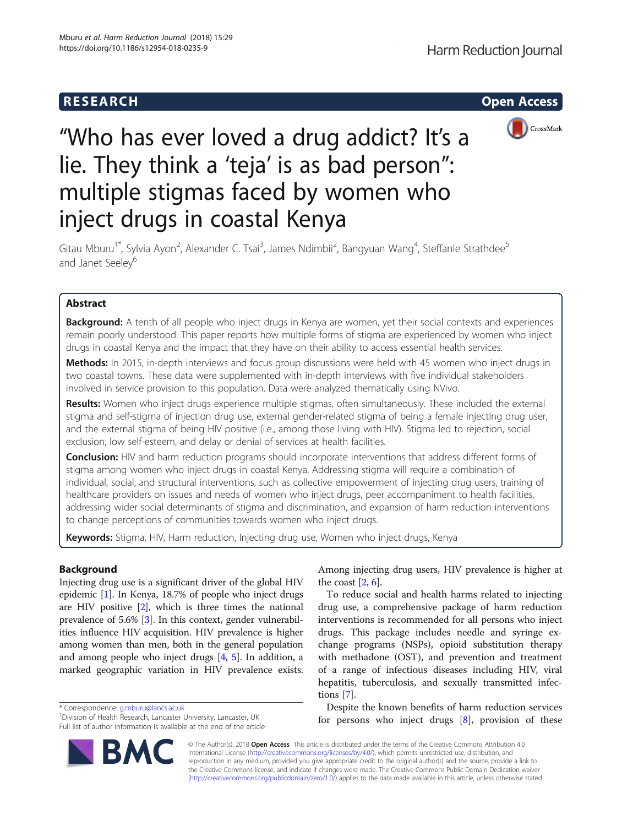# **RESEARCH CHILD CONTROL** CONTROL CONTROL CONTROL CONTROL CONTROL CONTROL CONTROL CONTROL CONTROL CONTROL CONTROL CONTROL CONTROL CONTROL CONTROL CONTROL CONTROL CONTROL CONTROL CONTROL CONTROL CONTROL CONTROL CONTROL CONTR



# "Who has ever loved a drug addict? It's a lie. They think a 'teja' is as bad person": multiple stigmas faced by women who inject drugs in coastal Kenya

Gitau Mburu<sup>1\*</sup>, Sylvia Ayon<sup>2</sup>, Alexander C. Tsai<sup>3</sup>, James Ndimbii<sup>2</sup>, Bangyuan Wang<sup>4</sup>, Steffanie Strathdee<sup>5</sup> and Janet Seeley<sup>6</sup>

# Abstract

Background: A tenth of all people who inject drugs in Kenya are women, yet their social contexts and experiences remain poorly understood. This paper reports how multiple forms of stigma are experienced by women who inject drugs in coastal Kenya and the impact that they have on their ability to access essential health services.

Methods: In 2015, in-depth interviews and focus group discussions were held with 45 women who inject drugs in two coastal towns. These data were supplemented with in-depth interviews with five individual stakeholders involved in service provision to this population. Data were analyzed thematically using NVivo.

Results: Women who inject drugs experience multiple stigmas, often simultaneously. These included the external stigma and self-stigma of injection drug use, external gender-related stigma of being a female injecting drug user, and the external stigma of being HIV positive (i.e., among those living with HIV). Stigma led to rejection, social exclusion, low self-esteem, and delay or denial of services at health facilities.

**Conclusion:** HIV and harm reduction programs should incorporate interventions that address different forms of stigma among women who inject drugs in coastal Kenya. Addressing stigma will require a combination of individual, social, and structural interventions, such as collective empowerment of injecting drug users, training of healthcare providers on issues and needs of women who inject drugs, peer accompaniment to health facilities, addressing wider social determinants of stigma and discrimination, and expansion of harm reduction interventions to change perceptions of communities towards women who inject drugs.

Keywords: Stigma, HIV, Harm reduction, Injecting drug use, Women who inject drugs, Kenya

# Background

Injecting drug use is a significant driver of the global HIV epidemic [\[1](#page-6-0)]. In Kenya, 18.7% of people who inject drugs are HIV positive [\[2](#page-6-0)], which is three times the national prevalence of 5.6% [\[3](#page-6-0)]. In this context, gender vulnerabilities influence HIV acquisition. HIV prevalence is higher among women than men, both in the general population and among people who inject drugs [\[4](#page-6-0), [5\]](#page-6-0). In addition, a marked geographic variation in HIV prevalence exists.

\* Correspondence: [g.mburu@lancs.ac.uk](mailto:g.mburu@lancs.ac.uk) <sup>1</sup>



To reduce social and health harms related to injecting drug use, a comprehensive package of harm reduction interventions is recommended for all persons who inject drugs. This package includes needle and syringe exchange programs (NSPs), opioid substitution therapy with methadone (OST), and prevention and treatment of a range of infectious diseases including HIV, viral hepatitis, tuberculosis, and sexually transmitted infections [[7\]](#page-6-0).

Despite the known benefits of harm reduction services for persons who inject drugs  $[8]$  $[8]$ , provision of these

© The Author(s). 2018 Open Access This article is distributed under the terms of the Creative Commons Attribution 4.0 International License [\(http://creativecommons.org/licenses/by/4.0/](http://creativecommons.org/licenses/by/4.0/)), which permits unrestricted use, distribution, and reproduction in any medium, provided you give appropriate credit to the original author(s) and the source, provide a link to the Creative Commons license, and indicate if changes were made. The Creative Commons Public Domain Dedication waiver [\(http://creativecommons.org/publicdomain/zero/1.0/](http://creativecommons.org/publicdomain/zero/1.0/)) applies to the data made available in this article, unless otherwise stated.



<sup>&</sup>lt;sup>1</sup> Division of Health Research, Lancaster University, Lancaster, UK Full list of author information is available at the end of the article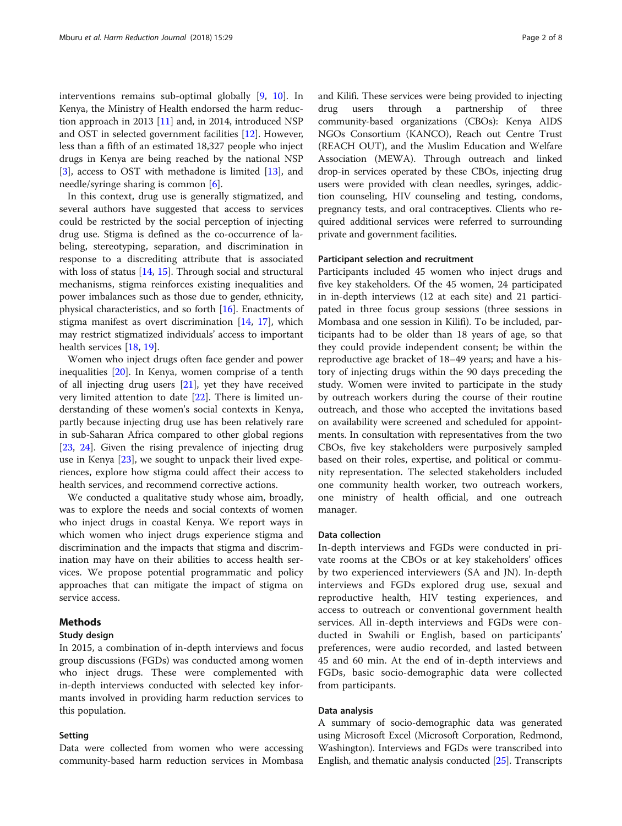interventions remains sub-optimal globally [[9,](#page-6-0) [10\]](#page-6-0). In Kenya, the Ministry of Health endorsed the harm reduction approach in 2013 [\[11](#page-6-0)] and, in 2014, introduced NSP and OST in selected government facilities [\[12](#page-6-0)]. However, less than a fifth of an estimated 18,327 people who inject drugs in Kenya are being reached by the national NSP [[3\]](#page-6-0), access to OST with methadone is limited [\[13](#page-6-0)], and needle/syringe sharing is common [\[6](#page-6-0)].

In this context, drug use is generally stigmatized, and several authors have suggested that access to services could be restricted by the social perception of injecting drug use. Stigma is defined as the co-occurrence of labeling, stereotyping, separation, and discrimination in response to a discrediting attribute that is associated with loss of status [[14,](#page-6-0) [15\]](#page-6-0). Through social and structural mechanisms, stigma reinforces existing inequalities and power imbalances such as those due to gender, ethnicity, physical characteristics, and so forth [\[16\]](#page-6-0). Enactments of stigma manifest as overt discrimination [[14](#page-6-0), [17\]](#page-6-0), which may restrict stigmatized individuals' access to important health services [[18](#page-6-0), [19](#page-6-0)].

Women who inject drugs often face gender and power inequalities [\[20\]](#page-6-0). In Kenya, women comprise of a tenth of all injecting drug users [[21](#page-7-0)], yet they have received very limited attention to date [[22\]](#page-7-0). There is limited understanding of these women's social contexts in Kenya, partly because injecting drug use has been relatively rare in sub-Saharan Africa compared to other global regions [[23,](#page-7-0) [24](#page-7-0)]. Given the rising prevalence of injecting drug use in Kenya [[23\]](#page-7-0), we sought to unpack their lived experiences, explore how stigma could affect their access to health services, and recommend corrective actions.

We conducted a qualitative study whose aim, broadly, was to explore the needs and social contexts of women who inject drugs in coastal Kenya. We report ways in which women who inject drugs experience stigma and discrimination and the impacts that stigma and discrimination may have on their abilities to access health services. We propose potential programmatic and policy approaches that can mitigate the impact of stigma on service access.

# Methods

# Study design

In 2015, a combination of in-depth interviews and focus group discussions (FGDs) was conducted among women who inject drugs. These were complemented with in-depth interviews conducted with selected key informants involved in providing harm reduction services to this population.

## Setting

Data were collected from women who were accessing community-based harm reduction services in Mombasa and Kilifi. These services were being provided to injecting drug users through a partnership of three community-based organizations (CBOs): Kenya AIDS NGOs Consortium (KANCO), Reach out Centre Trust (REACH OUT), and the Muslim Education and Welfare Association (MEWA). Through outreach and linked drop-in services operated by these CBOs, injecting drug users were provided with clean needles, syringes, addiction counseling, HIV counseling and testing, condoms, pregnancy tests, and oral contraceptives. Clients who required additional services were referred to surrounding private and government facilities.

## Participant selection and recruitment

Participants included 45 women who inject drugs and five key stakeholders. Of the 45 women, 24 participated in in-depth interviews (12 at each site) and 21 participated in three focus group sessions (three sessions in Mombasa and one session in Kilifi). To be included, participants had to be older than 18 years of age, so that they could provide independent consent; be within the reproductive age bracket of 18–49 years; and have a history of injecting drugs within the 90 days preceding the study. Women were invited to participate in the study by outreach workers during the course of their routine outreach, and those who accepted the invitations based on availability were screened and scheduled for appointments. In consultation with representatives from the two CBOs, five key stakeholders were purposively sampled based on their roles, expertise, and political or community representation. The selected stakeholders included one community health worker, two outreach workers, one ministry of health official, and one outreach manager.

# Data collection

In-depth interviews and FGDs were conducted in private rooms at the CBOs or at key stakeholders' offices by two experienced interviewers (SA and JN). In-depth interviews and FGDs explored drug use, sexual and reproductive health, HIV testing experiences, and access to outreach or conventional government health services. All in-depth interviews and FGDs were conducted in Swahili or English, based on participants' preferences, were audio recorded, and lasted between 45 and 60 min. At the end of in-depth interviews and FGDs, basic socio-demographic data were collected from participants.

## Data analysis

A summary of socio-demographic data was generated using Microsoft Excel (Microsoft Corporation, Redmond, Washington). Interviews and FGDs were transcribed into English, and thematic analysis conducted [\[25\]](#page-7-0). Transcripts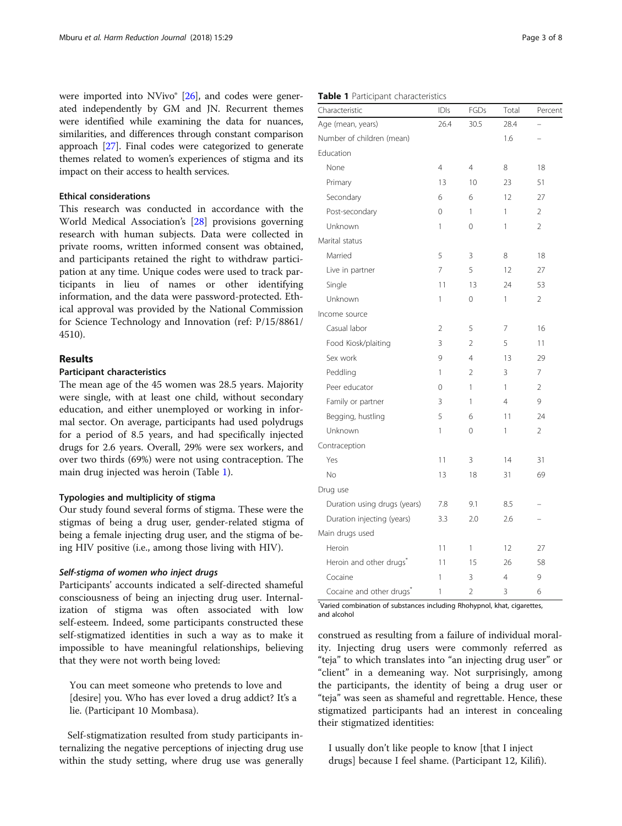were imported into  $N$ Vivo $\degree$  [\[26\]](#page-7-0), and codes were generated independently by GM and JN. Recurrent themes were identified while examining the data for nuances, similarities, and differences through constant comparison approach [\[27\]](#page-7-0). Final codes were categorized to generate themes related to women's experiences of stigma and its impact on their access to health services.

# Ethical considerations

This research was conducted in accordance with the World Medical Association's [[28\]](#page-7-0) provisions governing research with human subjects. Data were collected in private rooms, written informed consent was obtained, and participants retained the right to withdraw participation at any time. Unique codes were used to track participants in lieu of names or other identifying information, and the data were password-protected. Ethical approval was provided by the National Commission for Science Technology and Innovation (ref: P/15/8861/ 4510).

# Results

# Participant characteristics

The mean age of the 45 women was 28.5 years. Majority were single, with at least one child, without secondary education, and either unemployed or working in informal sector. On average, participants had used polydrugs for a period of 8.5 years, and had specifically injected drugs for 2.6 years. Overall, 29% were sex workers, and over two thirds (69%) were not using contraception. The main drug injected was heroin (Table 1).

## Typologies and multiplicity of stigma

Our study found several forms of stigma. These were the stigmas of being a drug user, gender-related stigma of being a female injecting drug user, and the stigma of being HIV positive (i.e., among those living with HIV).

#### Self-stigma of women who inject drugs

Participants' accounts indicated a self-directed shameful consciousness of being an injecting drug user. Internalization of stigma was often associated with low self-esteem. Indeed, some participants constructed these self-stigmatized identities in such a way as to make it impossible to have meaningful relationships, believing that they were not worth being loved:

You can meet someone who pretends to love and [desire] you. Who has ever loved a drug addict? It's a lie. (Participant 10 Mombasa).

Self-stigmatization resulted from study participants internalizing the negative perceptions of injecting drug use within the study setting, where drug use was generally

|  |  | Table 1 Participant characteristics |
|--|--|-------------------------------------|
|--|--|-------------------------------------|

| Characteristic                       | IDIs<br>26.4 | FGDs<br>30.5   | Total<br>28.4  | Percent                  |
|--------------------------------------|--------------|----------------|----------------|--------------------------|
| Age (mean, years)                    |              |                |                |                          |
| Number of children (mean)            |              |                | 1.6            | $\overline{\phantom{0}}$ |
| Education                            |              |                |                |                          |
| None                                 | 4            | $\overline{4}$ | 8              | 18                       |
| Primary                              | 13           | 10             | 23             | 51                       |
| Secondary                            | 6            | 6              | 12             | 27                       |
| Post-secondary                       | 0            | 1              | 1              | 2                        |
| Unknown                              | 1            | 0              | 1              | $\overline{2}$           |
| Marital status                       |              |                |                |                          |
| Married                              | 5            | 3              | 8              | 18                       |
| Live in partner                      | 7            | 5              | 12             | 27                       |
| Single                               | 11           | 13             | 24             | 53                       |
| Unknown                              | 1            | 0              | 1              | 2                        |
| Income source                        |              |                |                |                          |
| Casual labor                         | 2            | 5              | 7              | 16                       |
| Food Kiosk/plaiting                  | 3            | $\overline{2}$ | 5              | 11                       |
| Sex work                             | 9            | 4              | 13             | 29                       |
| Peddling                             | 1            | $\overline{2}$ | 3              | 7                        |
| Peer educator                        | 0            | 1              | 1              | $\mathfrak{D}$           |
| Family or partner                    | 3            | 1              | $\overline{4}$ | 9                        |
| Begging, hustling                    | 5            | 6              | 11             | 24                       |
| Unknown                              | 1            | 0              | 1              | 2                        |
| Contraception                        |              |                |                |                          |
| Yes                                  | 11           | 3              | 14             | 31                       |
| No                                   | 13           | 18             | 31             | 69                       |
| Drug use                             |              |                |                |                          |
| Duration using drugs (years)         | 7.8          | 9.1            | 8.5            |                          |
| Duration injecting (years)           | 3.3          | 2.0            | 2.6            |                          |
| Main drugs used                      |              |                |                |                          |
| Heroin                               | 11           | 1              | 12             | 27                       |
| Heroin and other drugs <sup>®</sup>  | 11           | 15             | 26             | 58                       |
| Cocaine                              | 1            | 3              | 4              | 9                        |
| Cocaine and other drugs <sup>*</sup> | 1            | $\overline{2}$ | 3              | 6                        |

\* Varied combination of substances including Rhohypnol, khat, cigarettes, and alcohol

construed as resulting from a failure of individual morality. Injecting drug users were commonly referred as "teja" to which translates into "an injecting drug user" or "client" in a demeaning way. Not surprisingly, among the participants, the identity of being a drug user or "teja" was seen as shameful and regrettable. Hence, these stigmatized participants had an interest in concealing their stigmatized identities:

I usually don't like people to know [that I inject drugs] because I feel shame. (Participant 12, Kilifi).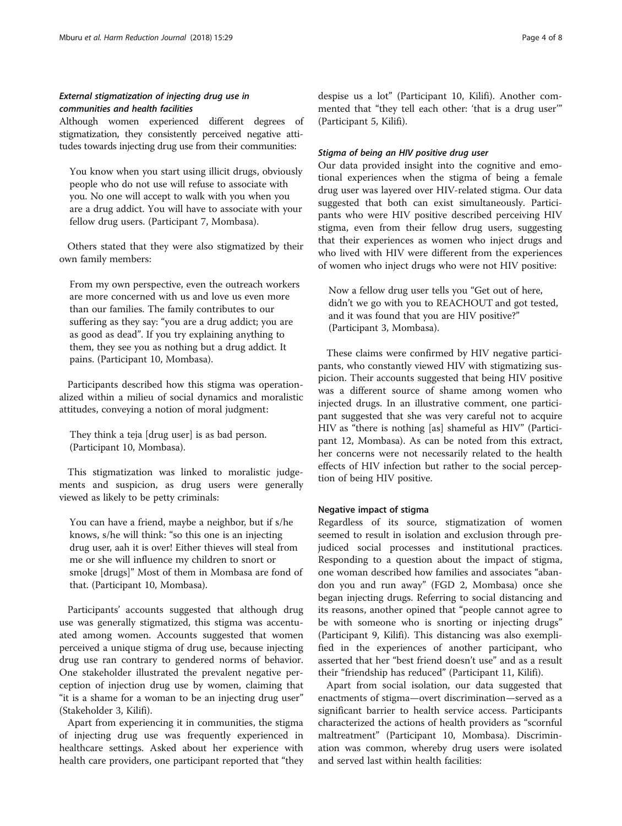# External stigmatization of injecting drug use in communities and health facilities

Although women experienced different degrees of stigmatization, they consistently perceived negative attitudes towards injecting drug use from their communities:

You know when you start using illicit drugs, obviously people who do not use will refuse to associate with you. No one will accept to walk with you when you are a drug addict. You will have to associate with your fellow drug users. (Participant 7, Mombasa).

Others stated that they were also stigmatized by their own family members:

From my own perspective, even the outreach workers are more concerned with us and love us even more than our families. The family contributes to our suffering as they say: "you are a drug addict; you are as good as dead". If you try explaining anything to them, they see you as nothing but a drug addict. It pains. (Participant 10, Mombasa).

Participants described how this stigma was operationalized within a milieu of social dynamics and moralistic attitudes, conveying a notion of moral judgment:

They think a teja [drug user] is as bad person. (Participant 10, Mombasa).

This stigmatization was linked to moralistic judgements and suspicion, as drug users were generally viewed as likely to be petty criminals:

You can have a friend, maybe a neighbor, but if s/he knows, s/he will think: "so this one is an injecting drug user, aah it is over! Either thieves will steal from me or she will influence my children to snort or smoke [drugs]" Most of them in Mombasa are fond of that. (Participant 10, Mombasa).

Participants' accounts suggested that although drug use was generally stigmatized, this stigma was accentuated among women. Accounts suggested that women perceived a unique stigma of drug use, because injecting drug use ran contrary to gendered norms of behavior. One stakeholder illustrated the prevalent negative perception of injection drug use by women, claiming that "it is a shame for a woman to be an injecting drug user" (Stakeholder 3, Kilifi).

Apart from experiencing it in communities, the stigma of injecting drug use was frequently experienced in healthcare settings. Asked about her experience with health care providers, one participant reported that "they despise us a lot" (Participant 10, Kilifi). Another commented that "they tell each other: 'that is a drug user'" (Participant 5, Kilifi).

# Stigma of being an HIV positive drug user

Our data provided insight into the cognitive and emotional experiences when the stigma of being a female drug user was layered over HIV-related stigma. Our data suggested that both can exist simultaneously. Participants who were HIV positive described perceiving HIV stigma, even from their fellow drug users, suggesting that their experiences as women who inject drugs and who lived with HIV were different from the experiences of women who inject drugs who were not HIV positive:

Now a fellow drug user tells you "Get out of here, didn't we go with you to REACHOUT and got tested, and it was found that you are HIV positive?" (Participant 3, Mombasa).

These claims were confirmed by HIV negative participants, who constantly viewed HIV with stigmatizing suspicion. Their accounts suggested that being HIV positive was a different source of shame among women who injected drugs. In an illustrative comment, one participant suggested that she was very careful not to acquire HIV as "there is nothing [as] shameful as HIV" (Participant 12, Mombasa). As can be noted from this extract, her concerns were not necessarily related to the health effects of HIV infection but rather to the social perception of being HIV positive.

## Negative impact of stigma

Regardless of its source, stigmatization of women seemed to result in isolation and exclusion through prejudiced social processes and institutional practices. Responding to a question about the impact of stigma, one woman described how families and associates "abandon you and run away" (FGD 2, Mombasa) once she began injecting drugs. Referring to social distancing and its reasons, another opined that "people cannot agree to be with someone who is snorting or injecting drugs" (Participant 9, Kilifi). This distancing was also exemplified in the experiences of another participant, who asserted that her "best friend doesn't use" and as a result their "friendship has reduced" (Participant 11, Kilifi).

Apart from social isolation, our data suggested that enactments of stigma—overt discrimination—served as a significant barrier to health service access. Participants characterized the actions of health providers as "scornful maltreatment" (Participant 10, Mombasa). Discrimination was common, whereby drug users were isolated and served last within health facilities: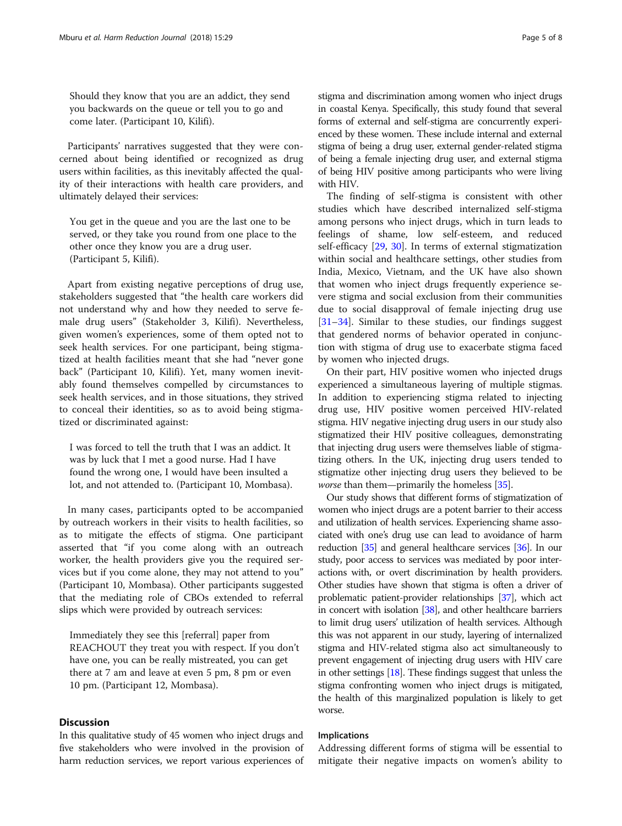Should they know that you are an addict, they send you backwards on the queue or tell you to go and come later. (Participant 10, Kilifi).

Participants' narratives suggested that they were concerned about being identified or recognized as drug users within facilities, as this inevitably affected the quality of their interactions with health care providers, and ultimately delayed their services:

You get in the queue and you are the last one to be served, or they take you round from one place to the other once they know you are a drug user. (Participant 5, Kilifi).

Apart from existing negative perceptions of drug use, stakeholders suggested that "the health care workers did not understand why and how they needed to serve female drug users" (Stakeholder 3, Kilifi). Nevertheless, given women's experiences, some of them opted not to seek health services. For one participant, being stigmatized at health facilities meant that she had "never gone back" (Participant 10, Kilifi). Yet, many women inevitably found themselves compelled by circumstances to seek health services, and in those situations, they strived to conceal their identities, so as to avoid being stigmatized or discriminated against:

I was forced to tell the truth that I was an addict. It was by luck that I met a good nurse. Had I have found the wrong one, I would have been insulted a lot, and not attended to. (Participant 10, Mombasa).

In many cases, participants opted to be accompanied by outreach workers in their visits to health facilities, so as to mitigate the effects of stigma. One participant asserted that "if you come along with an outreach worker, the health providers give you the required services but if you come alone, they may not attend to you" (Participant 10, Mombasa). Other participants suggested that the mediating role of CBOs extended to referral slips which were provided by outreach services:

Immediately they see this [referral] paper from REACHOUT they treat you with respect. If you don't have one, you can be really mistreated, you can get there at 7 am and leave at even 5 pm, 8 pm or even 10 pm. (Participant 12, Mombasa).

# **Discussion**

In this qualitative study of 45 women who inject drugs and five stakeholders who were involved in the provision of harm reduction services, we report various experiences of

stigma and discrimination among women who inject drugs in coastal Kenya. Specifically, this study found that several forms of external and self-stigma are concurrently experienced by these women. These include internal and external stigma of being a drug user, external gender-related stigma of being a female injecting drug user, and external stigma of being HIV positive among participants who were living with HIV.

The finding of self-stigma is consistent with other studies which have described internalized self-stigma among persons who inject drugs, which in turn leads to feelings of shame, low self-esteem, and reduced self-efficacy [\[29,](#page-7-0) [30](#page-7-0)]. In terms of external stigmatization within social and healthcare settings, other studies from India, Mexico, Vietnam, and the UK have also shown that women who inject drugs frequently experience severe stigma and social exclusion from their communities due to social disapproval of female injecting drug use [[31](#page-7-0)–[34](#page-7-0)]. Similar to these studies, our findings suggest that gendered norms of behavior operated in conjunction with stigma of drug use to exacerbate stigma faced by women who injected drugs.

On their part, HIV positive women who injected drugs experienced a simultaneous layering of multiple stigmas. In addition to experiencing stigma related to injecting drug use, HIV positive women perceived HIV-related stigma. HIV negative injecting drug users in our study also stigmatized their HIV positive colleagues, demonstrating that injecting drug users were themselves liable of stigmatizing others. In the UK, injecting drug users tended to stigmatize other injecting drug users they believed to be worse than them—primarily the homeless [[35](#page-7-0)].

Our study shows that different forms of stigmatization of women who inject drugs are a potent barrier to their access and utilization of health services. Experiencing shame associated with one's drug use can lead to avoidance of harm reduction [[35](#page-7-0)] and general healthcare services [\[36\]](#page-7-0). In our study, poor access to services was mediated by poor interactions with, or overt discrimination by health providers. Other studies have shown that stigma is often a driver of problematic patient-provider relationships [\[37\]](#page-7-0), which act in concert with isolation [[38](#page-7-0)], and other healthcare barriers to limit drug users' utilization of health services. Although this was not apparent in our study, layering of internalized stigma and HIV-related stigma also act simultaneously to prevent engagement of injecting drug users with HIV care in other settings [\[18\]](#page-6-0). These findings suggest that unless the stigma confronting women who inject drugs is mitigated, the health of this marginalized population is likely to get worse.

## Implications

Addressing different forms of stigma will be essential to mitigate their negative impacts on women's ability to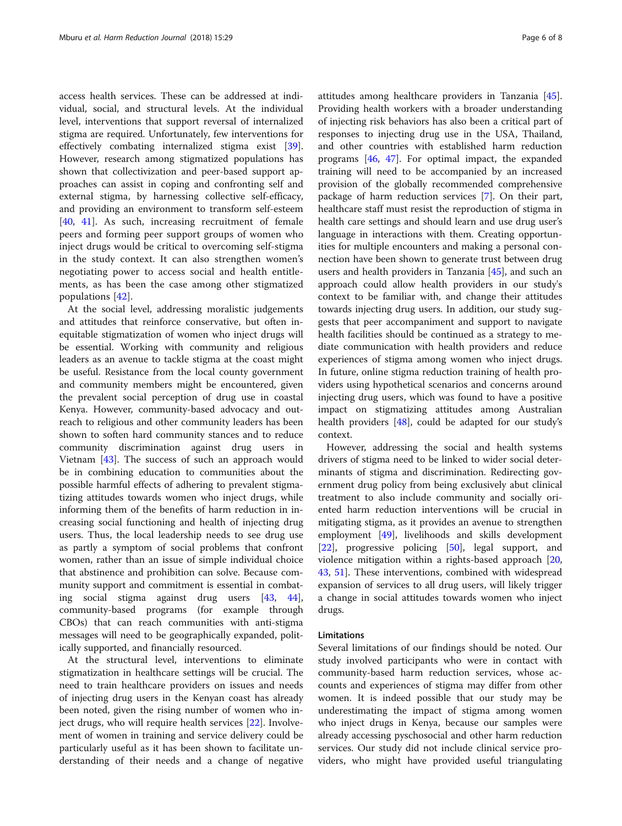access health services. These can be addressed at individual, social, and structural levels. At the individual level, interventions that support reversal of internalized stigma are required. Unfortunately, few interventions for effectively combating internalized stigma exist [\[39](#page-7-0)]. However, research among stigmatized populations has shown that collectivization and peer-based support approaches can assist in coping and confronting self and external stigma, by harnessing collective self-efficacy, and providing an environment to transform self-esteem [[40,](#page-7-0) [41\]](#page-7-0). As such, increasing recruitment of female peers and forming peer support groups of women who inject drugs would be critical to overcoming self-stigma in the study context. It can also strengthen women's negotiating power to access social and health entitlements, as has been the case among other stigmatized populations [[42\]](#page-7-0).

At the social level, addressing moralistic judgements and attitudes that reinforce conservative, but often inequitable stigmatization of women who inject drugs will be essential. Working with community and religious leaders as an avenue to tackle stigma at the coast might be useful. Resistance from the local county government and community members might be encountered, given the prevalent social perception of drug use in coastal Kenya. However, community-based advocacy and outreach to religious and other community leaders has been shown to soften hard community stances and to reduce community discrimination against drug users in Vietnam [\[43\]](#page-7-0). The success of such an approach would be in combining education to communities about the possible harmful effects of adhering to prevalent stigmatizing attitudes towards women who inject drugs, while informing them of the benefits of harm reduction in increasing social functioning and health of injecting drug users. Thus, the local leadership needs to see drug use as partly a symptom of social problems that confront women, rather than an issue of simple individual choice that abstinence and prohibition can solve. Because community support and commitment is essential in combating social stigma against drug users [\[43,](#page-7-0) [44](#page-7-0)], community-based programs (for example through CBOs) that can reach communities with anti-stigma messages will need to be geographically expanded, politically supported, and financially resourced.

At the structural level, interventions to eliminate stigmatization in healthcare settings will be crucial. The need to train healthcare providers on issues and needs of injecting drug users in the Kenyan coast has already been noted, given the rising number of women who inject drugs, who will require health services [\[22\]](#page-7-0). Involvement of women in training and service delivery could be particularly useful as it has been shown to facilitate understanding of their needs and a change of negative attitudes among healthcare providers in Tanzania [\[45](#page-7-0)]. Providing health workers with a broader understanding of injecting risk behaviors has also been a critical part of responses to injecting drug use in the USA, Thailand, and other countries with established harm reduction programs [[46,](#page-7-0) [47](#page-7-0)]. For optimal impact, the expanded training will need to be accompanied by an increased provision of the globally recommended comprehensive package of harm reduction services [[7\]](#page-6-0). On their part, healthcare staff must resist the reproduction of stigma in health care settings and should learn and use drug user's language in interactions with them. Creating opportunities for multiple encounters and making a personal connection have been shown to generate trust between drug users and health providers in Tanzania [\[45](#page-7-0)], and such an approach could allow health providers in our study's context to be familiar with, and change their attitudes towards injecting drug users. In addition, our study suggests that peer accompaniment and support to navigate health facilities should be continued as a strategy to mediate communication with health providers and reduce experiences of stigma among women who inject drugs. In future, online stigma reduction training of health providers using hypothetical scenarios and concerns around injecting drug users, which was found to have a positive impact on stigmatizing attitudes among Australian health providers [[48\]](#page-7-0), could be adapted for our study's context.

However, addressing the social and health systems drivers of stigma need to be linked to wider social determinants of stigma and discrimination. Redirecting government drug policy from being exclusively abut clinical treatment to also include community and socially oriented harm reduction interventions will be crucial in mitigating stigma, as it provides an avenue to strengthen employment [\[49](#page-7-0)], livelihoods and skills development [[22\]](#page-7-0), progressive policing [\[50](#page-7-0)], legal support, and violence mitigation within a rights-based approach [[20](#page-6-0), [43,](#page-7-0) [51](#page-7-0)]. These interventions, combined with widespread expansion of services to all drug users, will likely trigger a change in social attitudes towards women who inject drugs.

#### **Limitations**

Several limitations of our findings should be noted. Our study involved participants who were in contact with community-based harm reduction services, whose accounts and experiences of stigma may differ from other women. It is indeed possible that our study may be underestimating the impact of stigma among women who inject drugs in Kenya, because our samples were already accessing pyschosocial and other harm reduction services. Our study did not include clinical service providers, who might have provided useful triangulating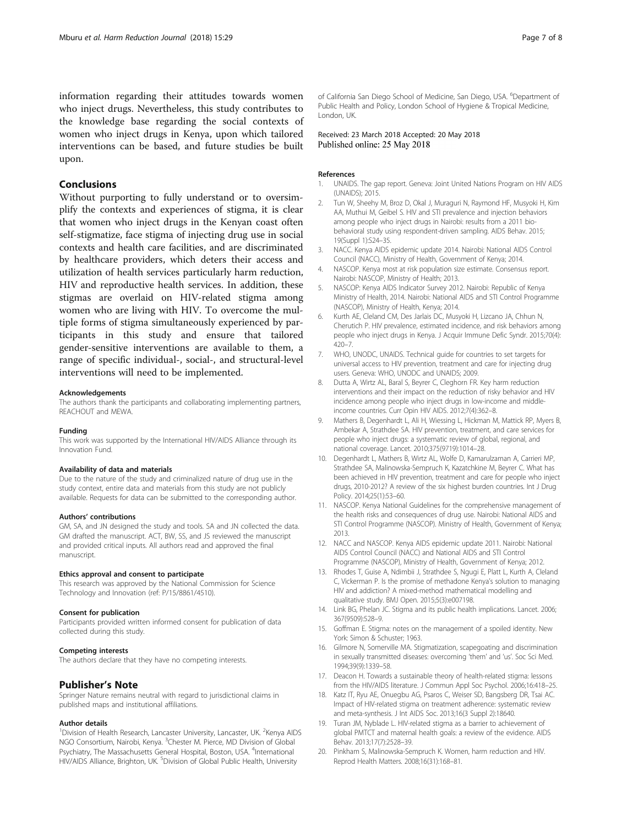<span id="page-6-0"></span>information regarding their attitudes towards women who inject drugs. Nevertheless, this study contributes to the knowledge base regarding the social contexts of women who inject drugs in Kenya, upon which tailored interventions can be based, and future studies be built upon.

# Conclusions

Without purporting to fully understand or to oversimplify the contexts and experiences of stigma, it is clear that women who inject drugs in the Kenyan coast often self-stigmatize, face stigma of injecting drug use in social contexts and health care facilities, and are discriminated by healthcare providers, which deters their access and utilization of health services particularly harm reduction, HIV and reproductive health services. In addition, these stigmas are overlaid on HIV-related stigma among women who are living with HIV. To overcome the multiple forms of stigma simultaneously experienced by participants in this study and ensure that tailored gender-sensitive interventions are available to them, a range of specific individual-, social-, and structural-level interventions will need to be implemented.

#### Acknowledgements

The authors thank the participants and collaborating implementing partners, REACHOUT and MEWA.

#### Funding

This work was supported by the International HIV/AIDS Alliance through its Innovation Fund.

#### Availability of data and materials

Due to the nature of the study and criminalized nature of drug use in the study context, entire data and materials from this study are not publicly available. Requests for data can be submitted to the corresponding author.

#### Authors' contributions

GM, SA, and JN designed the study and tools. SA and JN collected the data. GM drafted the manuscript. ACT, BW, SS, and JS reviewed the manuscript and provided critical inputs. All authors read and approved the final manuscript.

#### Ethics approval and consent to participate

This research was approved by the National Commission for Science Technology and Innovation (ref: P/15/8861/4510).

#### Consent for publication

Participants provided written informed consent for publication of data collected during this study.

#### Competing interests

The authors declare that they have no competing interests.

#### Publisher's Note

Springer Nature remains neutral with regard to jurisdictional claims in published maps and institutional affiliations.

#### Author details

<sup>1</sup>Division of Health Research, Lancaster University, Lancaster, UK. <sup>2</sup>Kenya AIDS NGO Consortium, Nairobi, Kenya. <sup>3</sup>Chester M. Pierce, MD Division of Global Psychiatry, The Massachusetts General Hospital, Boston, USA. <sup>4</sup>International HIV/AIDS Alliance, Brighton, UK. <sup>5</sup>Division of Global Public Health, University

of California San Diego School of Medicine, San Diego, USA. <sup>6</sup>Department of Public Health and Policy, London School of Hygiene & Tropical Medicine, London, UK.

#### Received: 23 March 2018 Accepted: 20 May 2018 Published online: 25 May 2018

#### References

- 1. UNAIDS. The gap report. Geneva: Joint United Nations Program on HIV AIDS (UNAIDS); 2015.
- 2. Tun W, Sheehy M, Broz D, Okal J, Muraguri N, Raymond HF, Musyoki H, Kim AA, Muthui M, Geibel S. HIV and STI prevalence and injection behaviors among people who inject drugs in Nairobi: results from a 2011 biobehavioral study using respondent-driven sampling. AIDS Behav. 2015; 19(Suppl 1):S24–35.
- 3. NACC. Kenya AIDS epidemic update 2014. Nairobi: National AIDS Control Council (NACC), Ministry of Health, Government of Kenya; 2014.
- 4. NASCOP. Kenya most at risk population size estimate. Consensus report. Nairobi: NASCOP, Ministry of Health; 2013.
- 5. NASCOP: Kenya AIDS Indicator Survey 2012. Nairobi: Republic of Kenya Ministry of Health, 2014. Nairobi: National AIDS and STI Control Programme (NASCOP), Ministry of Health, Kenya; 2014.
- 6. Kurth AE, Cleland CM, Des Jarlais DC, Musyoki H, Lizcano JA, Chhun N, Cherutich P. HIV prevalence, estimated incidence, and risk behaviors among people who inject drugs in Kenya. J Acquir Immune Defic Syndr. 2015;70(4): 420–7.
- 7. WHO, UNODC, UNAIDS. Technical guide for countries to set targets for universal access to HIV prevention, treatment and care for injecting drug users. Geneva: WHO, UNODC and UNAIDS; 2009.
- 8. Dutta A, Wirtz AL, Baral S, Beyrer C, Cleghorn FR. Key harm reduction interventions and their impact on the reduction of risky behavior and HIV incidence among people who inject drugs in low-income and middleincome countries. Curr Opin HIV AIDS. 2012;7(4):362–8.
- 9. Mathers B, Degenhardt L, Ali H, Wiessing L, Hickman M, Mattick RP, Myers B, Ambekar A, Strathdee SA. HIV prevention, treatment, and care services for people who inject drugs: a systematic review of global, regional, and national coverage. Lancet. 2010;375(9719):1014–28.
- 10. Degenhardt L, Mathers B, Wirtz AL, Wolfe D, Kamarulzaman A, Carrieri MP, Strathdee SA, Malinowska-Sempruch K, Kazatchkine M, Beyrer C. What has been achieved in HIV prevention, treatment and care for people who inject drugs, 2010-2012? A review of the six highest burden countries. Int J Drug Policy. 2014;25(1):53–60.
- 11. NASCOP. Kenya National Guidelines for the comprehensive management of the health risks and consequences of drug use. Nairobi: National AIDS and STI Control Programme (NASCOP). Ministry of Health, Government of Kenya; 2013.
- 12. NACC and NASCOP. Kenya AIDS epidemic update 2011. Nairobi: National AIDS Control Council (NACC) and National AIDS and STI Control Programme (NASCOP), Ministry of Health, Government of Kenya; 2012.
- 13. Rhodes T, Guise A, Ndimbii J, Strathdee S, Ngugi E, Platt L, Kurth A, Cleland C, Vickerman P. Is the promise of methadone Kenya's solution to managing HIV and addiction? A mixed-method mathematical modelling and qualitative study. BMJ Open. 2015;5(3):e007198.
- 14. Link BG, Phelan JC. Stigma and its public health implications. Lancet. 2006; 367(9509):528–9.
- 15. Goffman E. Stigma: notes on the management of a spoiled identity. New York: Simon & Schuster; 1963.
- 16. Gilmore N, Somerville MA. Stigmatization, scapegoating and discrimination in sexually transmitted diseases: overcoming 'them' and 'us'. Soc Sci Med. 1994;39(9):1339–58.
- 17. Deacon H. Towards a sustainable theory of health-related stigma: lessons from the HIV/AIDS literature. J Commun Appl Soc Psychol. 2006;16:418–25.
- 18. Katz IT, Ryu AE, Onuegbu AG, Psaros C, Weiser SD, Bangsberg DR, Tsai AC. Impact of HIV-related stigma on treatment adherence: systematic review and meta-synthesis. J Int AIDS Soc. 2013;16(3 Suppl 2):18640.
- 19. Turan JM, Nyblade L. HIV-related stigma as a barrier to achievement of global PMTCT and maternal health goals: a review of the evidence. AIDS Behav. 2013;17(7):2528–39.
- 20. Pinkham S, Malinowska-Sempruch K. Women, harm reduction and HIV. Reprod Health Matters. 2008;16(31):168–81.